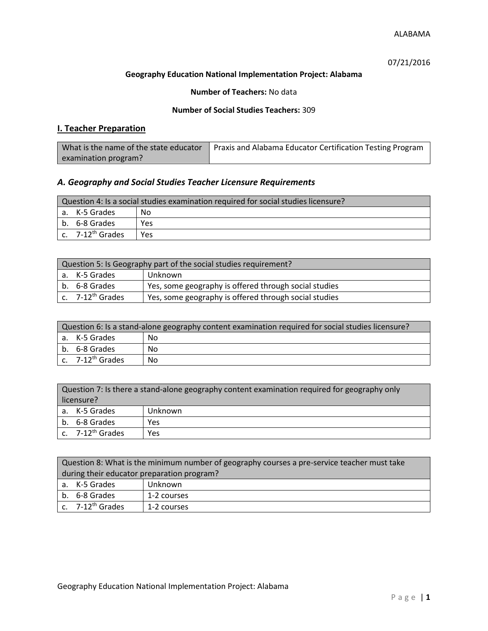07/21/2016

## **Geography Education National Implementation Project: Alabama**

## **Number of Teachers:** No data

## **Number of Social Studies Teachers:** 309

# **I. Teacher Preparation**

| What is the name of the state educator | Praxis and Alabama Educator Certification Testing Program |
|----------------------------------------|-----------------------------------------------------------|
| examination program?                   |                                                           |

## *A. Geography and Social Studies Teacher Licensure Requirements*

| Question 4: Is a social studies examination required for social studies licensure? |     |  |
|------------------------------------------------------------------------------------|-----|--|
| a. K-5 Grades                                                                      | Nο  |  |
| b. 6-8 Grades                                                                      | Yes |  |
| c. $7-12^{th}$ Grades                                                              | Yes |  |

| Question 5: Is Geography part of the social studies requirement? |                                                       |  |
|------------------------------------------------------------------|-------------------------------------------------------|--|
| a. K-5 Grades                                                    | Unknown                                               |  |
| b. 6-8 Grades                                                    | Yes, some geography is offered through social studies |  |
| c. 7-12 <sup>th</sup> Grades                                     | Yes, some geography is offered through social studies |  |

| Question 6: Is a stand-alone geography content examination required for social studies licensure? |    |  |
|---------------------------------------------------------------------------------------------------|----|--|
| a. K-5 Grades                                                                                     | No |  |
| b. 6-8 Grades                                                                                     | No |  |
| c. $7-12^{th}$ Grades                                                                             | No |  |

| Question 7: Is there a stand-alone geography content examination required for geography only<br>licensure? |         |  |
|------------------------------------------------------------------------------------------------------------|---------|--|
| a. K-5 Grades                                                                                              | Unknown |  |
| b. 6-8 Grades                                                                                              | Yes     |  |
| c. $7-12^{th}$ Grades                                                                                      | Yes     |  |

| Question 8: What is the minimum number of geography courses a pre-service teacher must take |             |  |
|---------------------------------------------------------------------------------------------|-------------|--|
| during their educator preparation program?                                                  |             |  |
| a. K-5 Grades                                                                               | Unknown     |  |
| b. 6-8 Grades                                                                               | 1-2 courses |  |
| c. $7-12^{th}$ Grades                                                                       | 1-2 courses |  |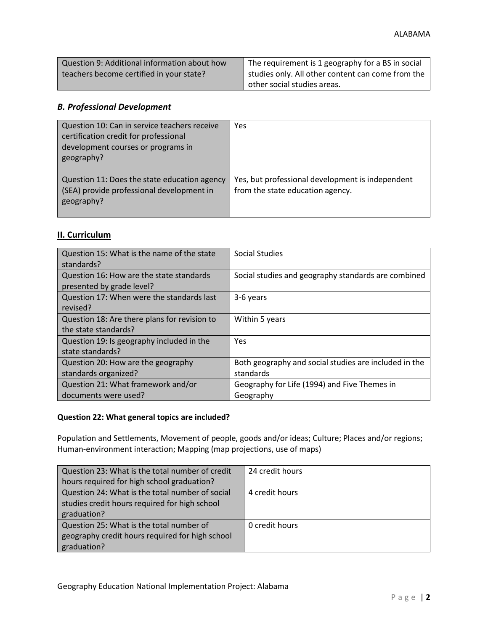| Question 9: Additional information about how | The requirement is 1 geography for a BS in social   |
|----------------------------------------------|-----------------------------------------------------|
| teachers become certified in your state?     | I studies only. All other content can come from the |
|                                              | other social studies areas.                         |

# *B. Professional Development*

| Question 10: Can in service teachers receive<br>certification credit for professional<br>development courses or programs in<br>geography? | Yes                                                                                  |
|-------------------------------------------------------------------------------------------------------------------------------------------|--------------------------------------------------------------------------------------|
| Question 11: Does the state education agency<br>(SEA) provide professional development in<br>geography?                                   | Yes, but professional development is independent<br>from the state education agency. |

# **II. Curriculum**

| Question 15: What is the name of the state<br>standards?              | <b>Social Studies</b>                                              |
|-----------------------------------------------------------------------|--------------------------------------------------------------------|
| Question 16: How are the state standards<br>presented by grade level? | Social studies and geography standards are combined                |
| Question 17: When were the standards last<br>revised?                 | 3-6 years                                                          |
| Question 18: Are there plans for revision to<br>the state standards?  | Within 5 years                                                     |
| Question 19: Is geography included in the<br>state standards?         | Yes                                                                |
| Question 20: How are the geography<br>standards organized?            | Both geography and social studies are included in the<br>standards |
| Question 21: What framework and/or<br>documents were used?            | Geography for Life (1994) and Five Themes in<br>Geography          |

# **Question 22: What general topics are included?**

Population and Settlements, Movement of people, goods and/or ideas; Culture; Places and/or regions; Human-environment interaction; Mapping (map projections, use of maps)

| Question 23: What is the total number of credit | 24 credit hours |
|-------------------------------------------------|-----------------|
| hours required for high school graduation?      |                 |
| Question 24: What is the total number of social | 4 credit hours  |
| studies credit hours required for high school   |                 |
| graduation?                                     |                 |
| Question 25: What is the total number of        | 0 credit hours  |
| geography credit hours required for high school |                 |
| graduation?                                     |                 |